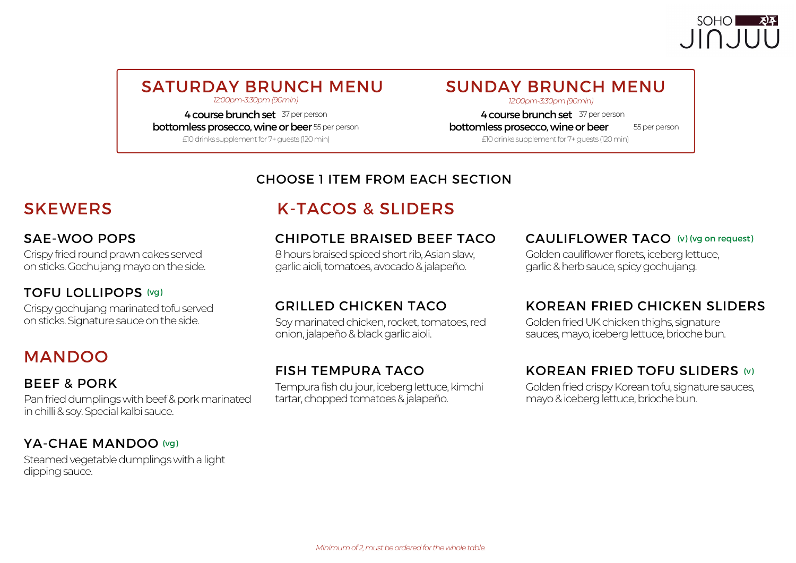## SOHO<sup>1</sup>  $J\cap J$

# SATURDAY BRUNCH MENU SUNDAY BRUNCH MENU

4 course brunch set 37 per person **bottomless prosecco, wine or beer** 55 per person

£10drinks supplementfor7+guests (120min) £10drinks supplementfor7+guests (120min)

*12:00pm-3:30pm(90min) 12:00pm-3:30pm(90min)*

4 course brunch set 37 per person bottomless prosecco, wine or beer 55 per person

#### CHOOSE 1 ITEM FROM EACH SECTION

#### SAE-WOO POPS

Crispy fried round prawn cakes served on sticks. Gochujang mayo on the side.

#### TOFU LOLLIPOPS (vg)

Crispy gochujang marinated tofu served onsticks.Signaturesauceontheside.

## MANDOO

#### BEEF & PORK

Pan fried dumplings with beef & pork marinated in chilli & soy. Special kalbi sauce.

#### YA-CHAE MANDOO (vg)

Steamed vegetable dumplings with a light dipping sauce.

## SKEWERS K-TACOS & SLIDERS

#### CHIPOTLE BRAISED BEEF TACO

8 hours braised spiced short rib, Asian slaw, garlicaioli,tomatoes,avocado&jalapeño.

#### GRILLED CHICKEN TACO

Soy marinated chicken, rocket, tomatoes, red onion, jalapeño & black garlic aioli.

#### FISH TEMPURA TACO

Tempura fish du jour, iceberg lettuce, kimchi tartar, chopped tomatoes & jalapeño.

#### CAULIFLOWER TACO (v) (vg on request)

Golden cauliflower florets, iceberg lettuce, garlic&herbsauce, spicygochujang.

#### KOREAN FRIED CHICKEN SLIDERS

Golden fried UK chicken thighs, signature sauces, mayo, iceberg lettuce, brioche bun.

#### KOREAN FRIED TOFU SLIDERS (v)

Golden fried crispy Korean tofu, signature sauces, mayo & iceberg lettuce, brioche bun.